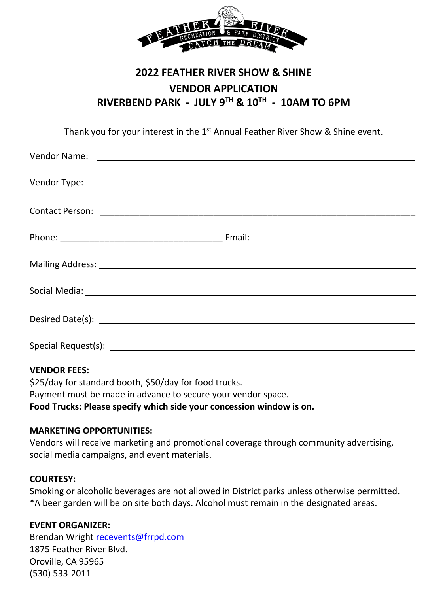

# **2022 FEATHER RIVER SHOW & SHINE VENDOR APPLICATION RIVERBEND PARK - JULY 9TH & 10TH - 10AM TO 6PM**

Thank you for your interest in the 1<sup>st</sup> Annual Feather River Show & Shine event.

| Special Request(s): |  |
|---------------------|--|

#### **VENDOR FEES:**

\$25/day for standard booth, \$50/day for food trucks. Payment must be made in advance to secure your vendor space. **Food Trucks: Please specify which side your concession window is on.**

#### **MARKETING OPPORTUNITIES:**

Vendors will receive marketing and promotional coverage through community advertising, social media campaigns, and event materials.

#### **COURTESY:**

Smoking or alcoholic beverages are not allowed in District parks unless otherwise permitted. \*A beer garden will be on site both days. Alcohol must remain in the designated areas.

### **EVENT ORGANIZER:**

Brendan Wright [recevents@frrpd.com](mailto:recevents@frrpd.com) 1875 Feather River Blvd. Oroville, CA 95965 (530) 533-2011